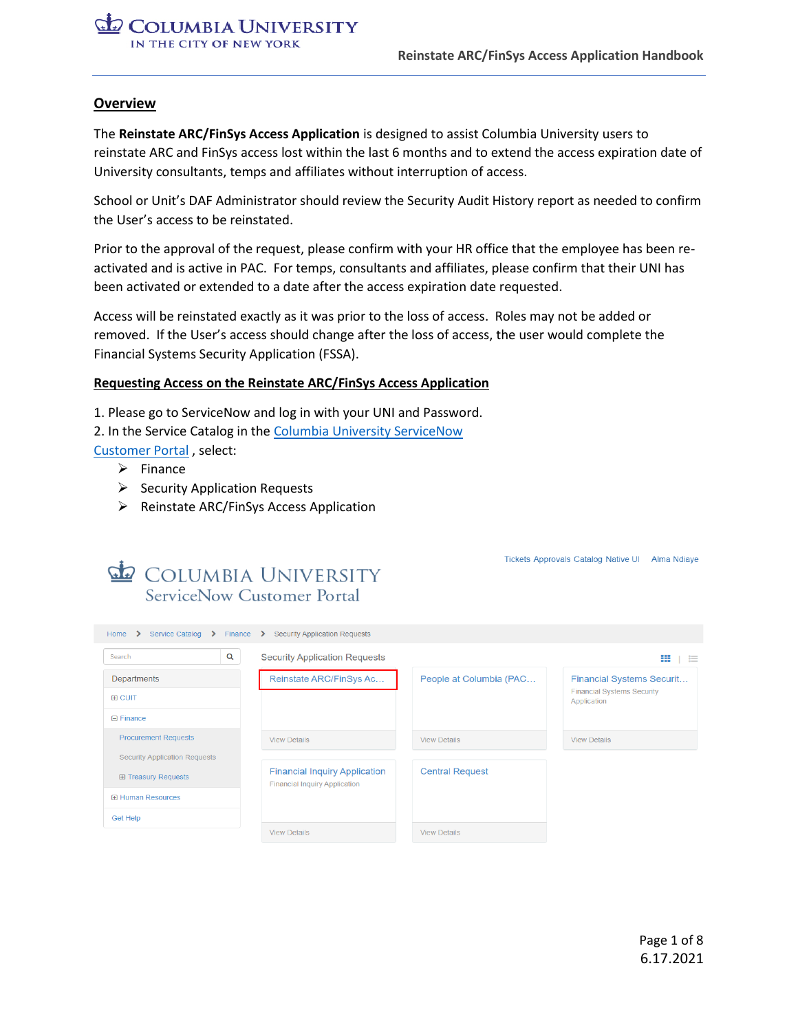#### **Overview**

The **Reinstate ARC/FinSys Access Application** is designed to assist Columbia University users to reinstate ARC and FinSys access lost within the last 6 months and to extend the access expiration date of University consultants, temps and affiliates without interruption of access.

School or Unit's DAF Administrator should review the Security Audit History report as needed to confirm the User's access to be reinstated.

Prior to the approval of the request, please confirm with your HR office that the employee has been reactivated and is active in PAC. For temps, consultants and affiliates, please confirm that their UNI has been activated or extended to a date after the access expiration date requested.

Access will be reinstated exactly as it was prior to the loss of access. Roles may not be added or removed. If the User's access should change after the loss of access, the user would complete the Financial Systems Security Application (FSSA).

#### **Requesting Access on the Reinstate ARC/FinSys Access Application**

1. Please go to ServiceNow and log in with your UNI and Password.

2. In the Service Catalog in the [Columbia University ServiceNow](https://columbia.service-now.com/cu) 

[Customer Portal](https://columbia.service-now.com/cu) , select:

- ➢ Finance
- ➢ Security Application Requests
- ➢ Reinstate ARC/FinSys Access Application

| <b>E</b> COLUMBIA UNIVERSITY<br>ServiceNow Customer Portal                                           |                                                                              |                         | <b>Tickets Approvals Catalog Native UI</b><br><b>Alma Ndiaye</b>      |
|------------------------------------------------------------------------------------------------------|------------------------------------------------------------------------------|-------------------------|-----------------------------------------------------------------------|
| Home $\rightarrow$ Service Catalog $\rightarrow$ Finance $\rightarrow$ Security Application Requests |                                                                              |                         |                                                                       |
| $\alpha$<br>Search                                                                                   | <b>Security Application Requests</b>                                         |                         | ₩<br>這                                                                |
| Departments<br><b>H</b> CUIT                                                                         | Reinstate ARC/FinSys Ac                                                      | People at Columbia (PAC | <b>Financial Systems Securit</b><br><b>Financial Systems Security</b> |
| $\Box$ Finance                                                                                       |                                                                              |                         | Application                                                           |
| <b>Procurement Requests</b>                                                                          | <b>View Details</b>                                                          | <b>View Details</b>     | <b>View Details</b>                                                   |
| <b>Security Application Requests</b><br><b>E Treasury Requests</b><br><b>E Human Resources</b>       | <b>Financial Inquiry Application</b><br><b>Financial Inquiry Application</b> | <b>Central Request</b>  |                                                                       |
| <b>Get Help</b>                                                                                      | <b>View Details</b>                                                          | <b>View Details</b>     |                                                                       |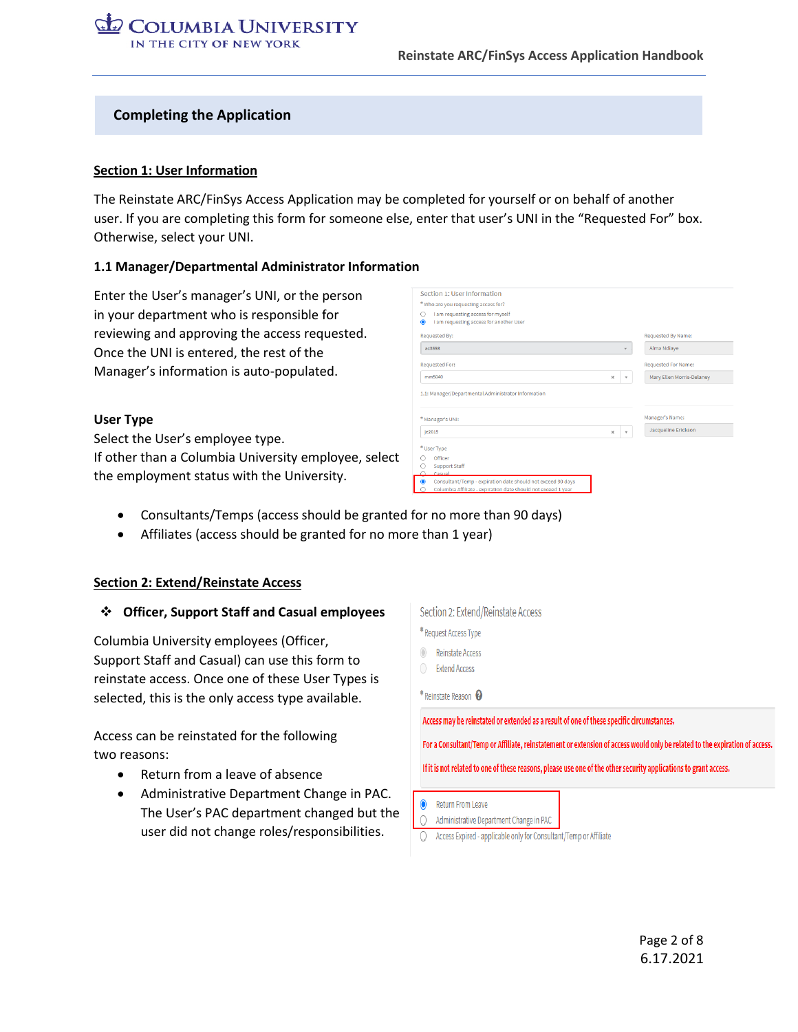#### **Completing the Application**

#### **Section 1: User Information**

The Reinstate ARC/FinSys Access Application may be completed for yourself or on behalf of another user. If you are completing this form for someone else, enter that user's UNI in the "Requested For" box. Otherwise, select your UNI.

#### **1.1 Manager/Departmental Administrator Information**

Enter the User's manager's UNI, or the person in your department who is responsible for reviewing and approving the access requested. Once the UNI is entered, the rest of the Manager's information is auto-populated.

#### **User Type**

Select the User's employee type. If other than a Columbia University employee, select the employment status with the University.

| Requested By:         |                       |              | <b>Requested By Name:</b>  |
|-----------------------|-----------------------|--------------|----------------------------|
| ac3558                |                       | v            | Alma Ndiaye                |
| <b>Requested For:</b> |                       |              | <b>Requested For Name:</b> |
| mm5040                | $\boldsymbol{\times}$ | $\mathbf{v}$ | Mary Ellen Morris-Delaney  |
| * Manager's UNI:      |                       |              | Manager's Name:            |
| ie2015                | $\mathbf{x}$          | $\mathbf{v}$ | Jacqueline Erickson        |
|                       |                       |              |                            |

- Consultants/Temps (access should be granted for no more than 90 days)
- Affiliates (access should be granted for no more than 1 year)

#### **Section 2: Extend/Reinstate Access**

#### ❖ **Officer, Support Staff and Casual employees**

Columbia University employees (Officer, Support Staff and Casual) can use this form to reinstate access. Once one of these User Types is selected, this is the only access type available.

Access can be reinstated for the following two reasons:

- Return from a leave of absence
- Administrative Department Change in PAC. The User's PAC department changed but the user did not change roles/responsibilities.

|                      | Request Access Type                                                                                                         |
|----------------------|-----------------------------------------------------------------------------------------------------------------------------|
|                      | Reinstate Access<br><b>Extend Access</b>                                                                                    |
| * Reinstate Reason @ |                                                                                                                             |
|                      | Access may be reinstated or extended as a result of one of these specific circumstances.                                    |
|                      | For a Consultant/Temp or Affiliate, reinstatement or extension of access would only be related to the expiration of access. |
|                      |                                                                                                                             |
|                      | If it is not related to one of these reasons, please use one of the other security applications to grant access.            |
|                      |                                                                                                                             |
|                      | <b>Return From Leave</b>                                                                                                    |
|                      | Administrative Department Change in PAC                                                                                     |
|                      | Access Expired - applicable only for Consultant/Temp or Affiliate                                                           |
|                      |                                                                                                                             |

Section 2: Extend/Reinstate Access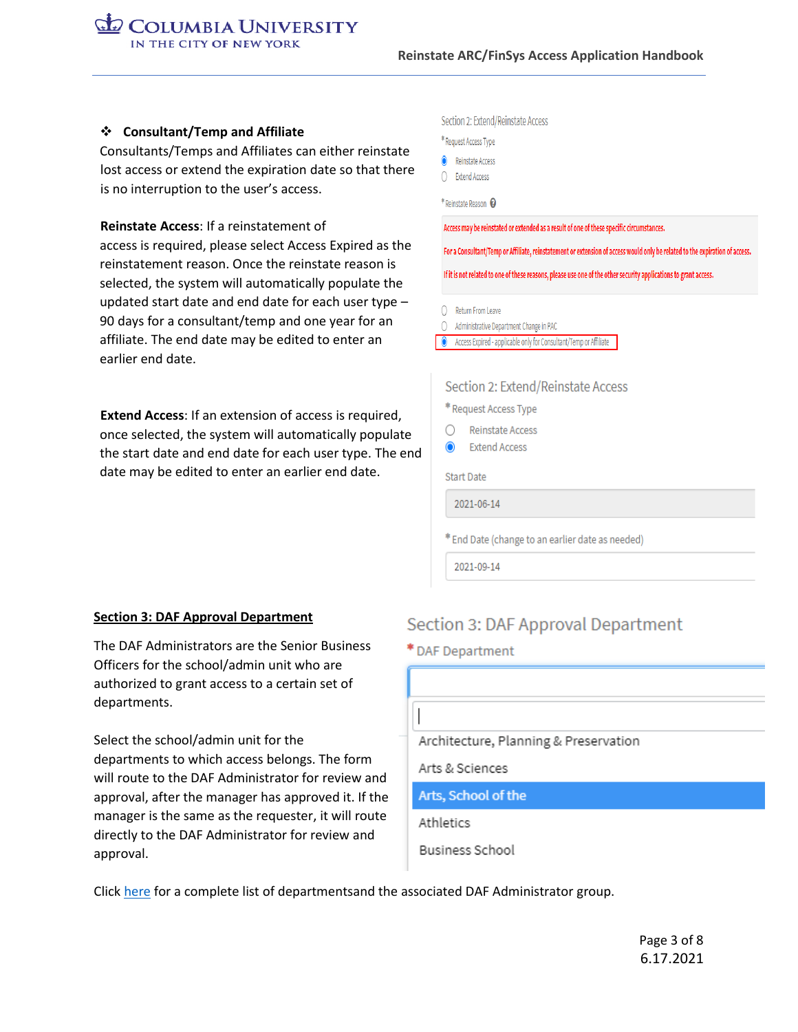#### ❖ **Consultant/Temp and Affiliate**

Consultants/Temps and Affiliates can either reinstate lost access or extend the expiration date so that there is no interruption to the user's access.

 **Reinstate Access**: If a reinstatement of access is required, please select Access Expired as the reinstatement reason. Once the reinstate reason is selected, the system will automatically populate the updated start date and end date for each user type – 90 days for a consultant/temp and one year for an affiliate. The end date may be edited to enter an earlier end date.

 **Extend Access**: If an extension of access is required, once selected, the system will automatically populate the start date and end date for each user type. The end date may be edited to enter an earlier end date.

#### Section 2: Extend/Reinstate Access

|  | * Request Access Type |  |
|--|-----------------------|--|
|  |                       |  |

- Reinstate Access
- C Extend Access

\* Reinstate Reason

Access may be reinstated or extended as a result of one of these specific circumstances.

For a Consultant/Temp or Affiliate, reinstatement or extension of access would only be related to the expiration of access.

If it is not related to one of these reasons, please use one of the other security applications to grant access.

- O Return From Leave
- Administrative Department Change in PAC
- Access Expired applicable only for Consultant/Temp or Affiliate

#### Section 2: Extend/Reinstate Access

\* Request Access Type

- Reinstate Access ∩
- **Extend Access**

Start Date

2021-06-14

\* End Date (change to an earlier date as needed)

2021-09-14

#### **Section 3: DAF Approval Department**

The DAF Administrators are the Senior Business Officers for the school/admin unit who are authorized to grant access to a certain set of departments.

Select the school/admin unit for the departments to which access belongs. The form will route to the DAF Administrator for review and approval, after the manager has approved it. If the manager is the same as the requester, it will route directly to the DAF Administrator for review and approval.

### Section 3: DAF Approval Department

#### \* DAF Department

Architecture, Planning & Preservation

Arts & Sciences

Arts, School of the

Athletics

Business School

Click [here](https://www.finance.columbia.edu/content/daf-administrators-dept) for a complete list of departmentsand the associated DAF Administrator group.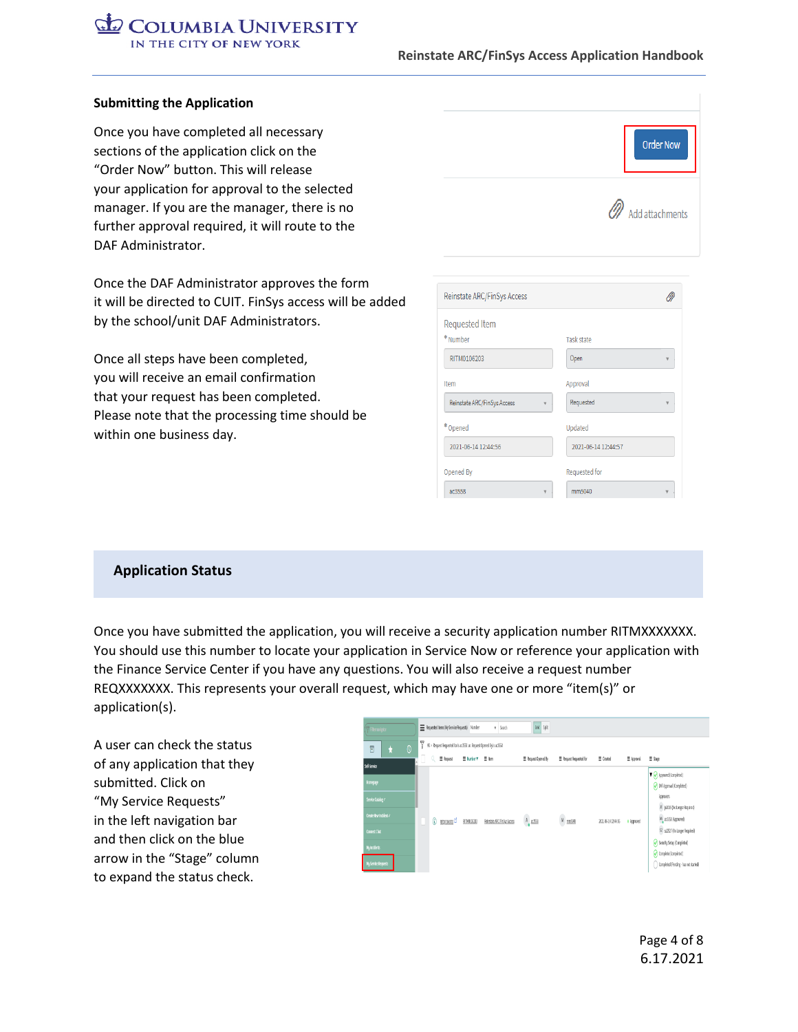#### **Reinstate ARC/FinSys Access Application Handbook**

#### **Submitting the Application**

Once you have completed all necessary sections of the application click on the "Order Now" button. This will release your application for approval to the selected manager. If you are the manager, there is no further approval required, it will route to the DAF Administrator.

Once the DAF Administrator approves the form it will be directed to CUIT. FinSys access will be added by the school/unit DAF Administrators.

Once all steps have been completed, you will receive an email confirmation that your request has been completed. Please note that the processing time should be within one business day.

| Order Now         |
|-------------------|
| 2 Add attachments |
|                   |

| Reinstate ARC/FinSys Access |                     |
|-----------------------------|---------------------|
| <b>Requested Item</b>       |                     |
| * Number                    | <b>Task state</b>   |
| RITM0106203                 | Open                |
| Item                        | Approval            |
| Reinstate ARC/FinSys Access | Requested           |
| *Opened                     | Updated             |
| 2021-06-14 12:44:56         | 2021-06-14 12:44:57 |
| Opened By                   | Requested for       |
| ac3558                      | mm5040              |

#### **Application Status**

Once you have submitted the application, you will receive a security application number RITMXXXXXXX. You should use this number to locate your application in Service Now or reference your application with the Finance Service Center if you have any questions. You will also receive a request number REQXXXXXXX. This represents your overall request, which may have one or more "item(s)" or application(s).

A user can check the status of any application that they submitted. Click on "My Service Requests" in the left navigation bar and then click on the blue arrow in the "Stage" column to expand the status check.

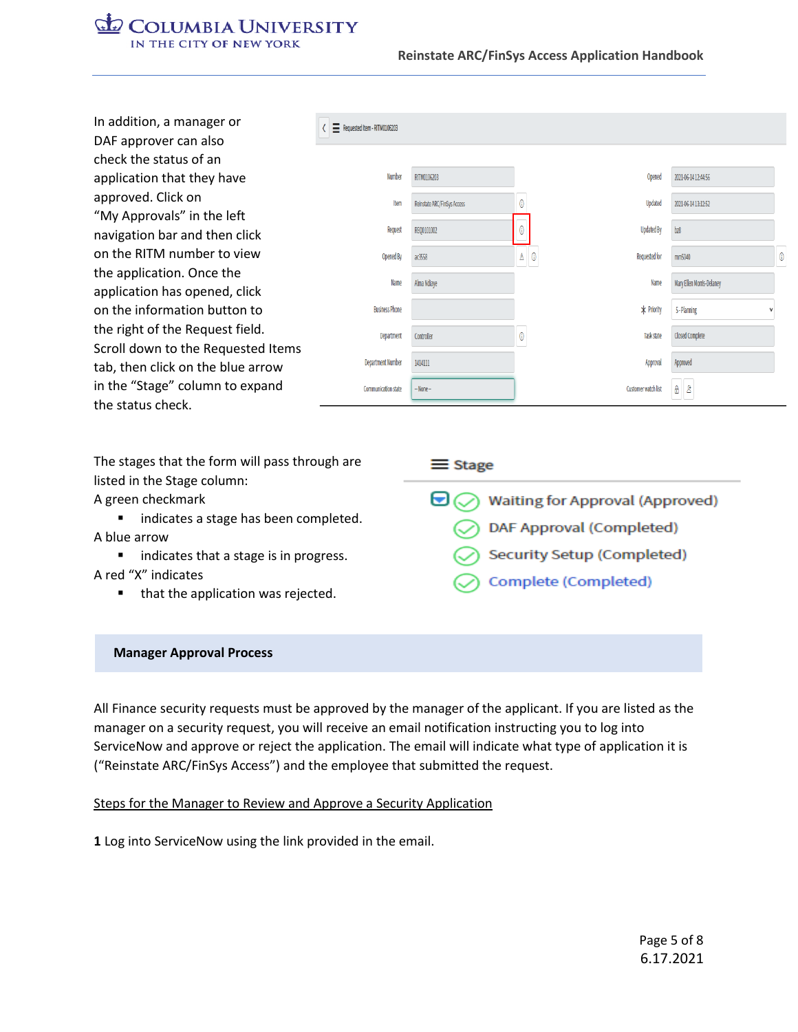#### **Reinstate ARC/FinSys Access Application Handbook**

| In addition, a manager or<br>DAF approver can also          | Requested Item - RITM0106203 |                             |                                 |                           |  |
|-------------------------------------------------------------|------------------------------|-----------------------------|---------------------------------|---------------------------|--|
| check the status of an                                      |                              |                             |                                 |                           |  |
| application that they have                                  | <b>Number</b>                | RITM0106203                 | Opened                          | 2021-06-14 12:44:56       |  |
| approved. Click on                                          | Item                         | Reinstate ARC/FinSys Access | 0<br>Updated                    | 2021-06-14 13:12:52       |  |
| "My Approvals" in the left<br>navigation bar and then click | Request                      | REQ0101002                  | <b>Updated By</b>               | bz8                       |  |
| on the RITM number to view                                  | Opened By                    | ac3558                      | $\mathbb{A}$ 0<br>Requested for | mm5040                    |  |
| the application. Once the<br>application has opened, click  | Name                         | Alma Ndiaye                 | Name                            | Mary Ellen Morris-Delaney |  |
| on the information button to                                | <b>Business Phone</b>        |                             | * Priority                      | 5 - Planning              |  |
| the right of the Request field.                             | Department                   | Controller                  | 0<br>Task state                 | Closed Complete           |  |
| Scroll down to the Requested Items                          | <b>Department Number</b>     | 1414111                     | Approval                        | Approved                  |  |
| tab, then click on the blue arrow                           |                              |                             |                                 |                           |  |
| in the "Stage" column to expand                             | <b>Communication state</b>   | $-$ None $-$                | Customer watch list             | A 8                       |  |
| the status check.                                           |                              |                             |                                 |                           |  |

The stages that the form will pass through are listed in the Stage column:

A green checkmark

■ indicates a stage has been completed. A blue arrow

- indicates that a stage is in progress. A red "X" indicates
	- that the application was rejected.

 $\equiv$  Stage  $\bigcirc$  Waiting for Approval (Approved) DAF Approval (Completed) Security Setup (Completed) Complete (Completed)

#### **Manager Approval Process**

All Finance security requests must be approved by the manager of the applicant. If you are listed as the manager on a security request, you will receive an email notification instructing you to log into ServiceNow and approve or reject the application. The email will indicate what type of application it is ("Reinstate ARC/FinSys Access") and the employee that submitted the request.

#### Steps for the Manager to Review and Approve a Security Application

**1** Log into ServiceNow using the link provided in the email.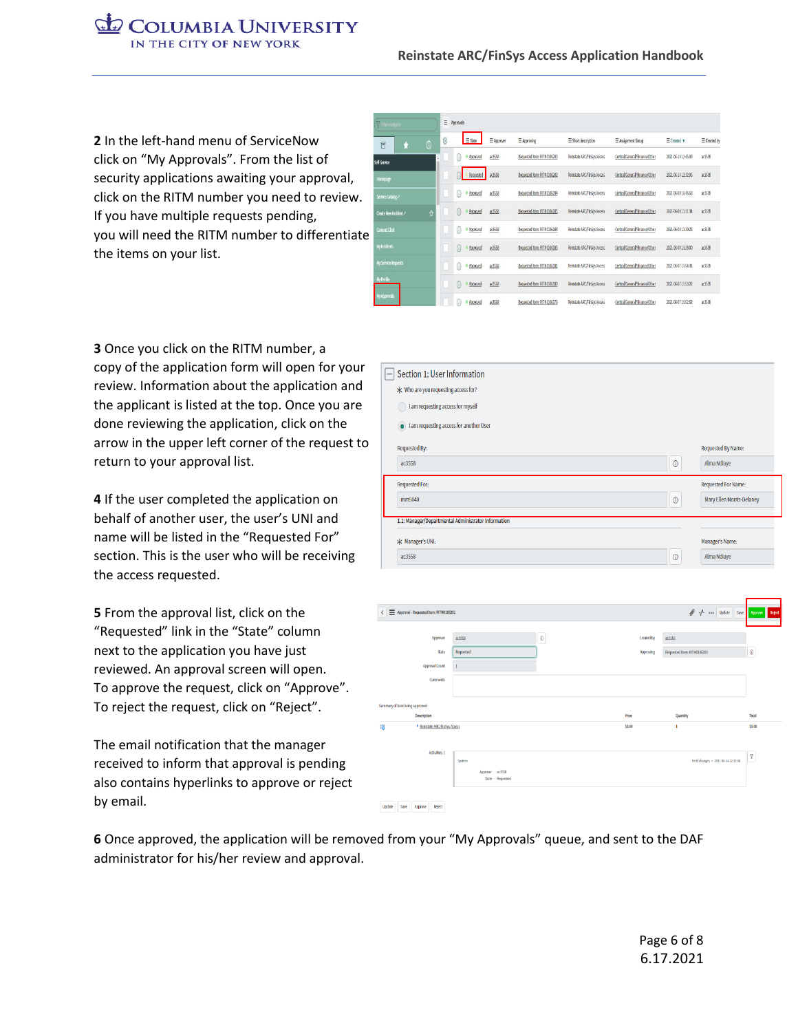**2** In the left-hand menu of ServiceNow click on "My Approvals". From the list of security applications awaiting your approval, click on the RITM number you need to review. If you have multiple requests pending, you will need the RITM number to differentiate the items on your list.

| P Remarker            |                |   | $\equiv$ Approvals |            |                             |                             |                               |                           |                     |
|-----------------------|----------------|---|--------------------|------------|-----------------------------|-----------------------------|-------------------------------|---------------------------|---------------------|
| 同                     | $\overline{0}$ | Ö | $\equiv$ State     | E Approver | $\equiv$ <i>koproving</i>   | E Short description         | E Assignment Group            | $\equiv$ Created $\bm{v}$ | $\equiv$ Created by |
| Self-Service          |                |   | (i)<br>Approved    | a:3558     | Requested Item: ELTM0106203 | Reinstate ARC/FinSys Access | Central/General/Finance/Other | 2021-06-14 12:45:03       | x355                |
| Homepage              |                |   | Requested          | a:3558     | Requested Item: RFTM0106202 | Reinstate ARC/FinSys Access | Central/General/Finance/Other | 2021-06-14 12:32:06       | 27359               |
| Service Catalog /     |                |   | G)<br>Approved     | a:3558     | Requested Nem: FITM0106194  | Reinstate ARC/FinSys Access | Central/General/Finance/Other | 2021-06-08 16:45:58       | ac3558              |
| Create New Incident / | $\Lambda$      |   | 6<br>Approved      | a:3558     | Requested Item: ELTM0106185 | Reinstate ARC/FinSys Access | Central/General/Finance/Other | 2021-06-08 13:31:34       | 2359                |
| Connect Chat          |                |   | G)<br>Approved     | ac3558     | Requested item: ELTM0105184 | Reinstate ARC/FinSys Access | Central/General/Finance/Other | 2021-06-08 13:30:23       | ac3558              |
| <b>Wy incidents</b>   |                |   | 6<br>Approved      | 8,355      | Requested Item: RITM0106183 | Reinstate ARC/FinSys Access | Central/General/Finance/Other | 2021-06-08 13:28:00       | ar3558              |
| My Service Requests   |                |   | 6<br>Approved      | a:3558     | Requested Item: FITM0106181 | Reinstate ARC/FinSys Access | Central/General/Finance/Other | 2021-06-07 15:54:31       | <b>ac3558</b>       |
| Wy Profile            |                |   | 6<br>Approved      | a:3558     | Requested item: RITM0106180 | Reinstate ARC/FinSys Access | Central/General/Finance/Other | 2021-06-07 15:53:22       | x355                |
| y Approvals           |                |   | Ŧ<br>Approved      | a:3558     | Requested Item: RITM0106179 | Reinstate ARC/FinSys Access | Central/General/Finance/Other | 2021-06-07 15:52:58       | ac3558              |

**3** Once you click on the RITM number, a copy of the application form will open for your review. Information about the application and the applicant is listed at the top. Once you are done reviewing the application, click on the arrow in the upper left corner of the request to return to your approval list.

**4** If the user completed the application on behalf of another user, the user's UNI and name will be listed in the "Requested For" section. This is the user who will be receiving the access requested.

**5** From the approval list, click on the "Requested" link in the "State" column next to the application you have just reviewed. An approval screen will open. To approve the request, click on "Approve". To reject the request, click on "Reject".

The email notification that the manager received to inform that approval is pending also contains hyperlinks to approve or reject by email.

| $\qquad \qquad -$ | Section 1: User Information                         |            |                            |
|-------------------|-----------------------------------------------------|------------|----------------------------|
|                   | * Who are you requesting access for?                |            |                            |
|                   | I am requesting access for myself                   |            |                            |
|                   | I am requesting access for another User             |            |                            |
|                   | <b>Requested By:</b>                                |            | <b>Requested By Name:</b>  |
|                   | ac3558                                              | $^{\circ}$ | Alma Ndiaye                |
|                   | <b>Requested For:</b>                               |            | <b>Requested For Name:</b> |
|                   | mm5040                                              | $^{\circ}$ | Mary Ellen Morris-Delaney  |
|                   | 1.1: Manager/Departmental Administrator Information |            |                            |
|                   | * Manager's UNI:                                    |            | Manager's Name:            |
|                   | ac3558                                              | 0          | Alma Ndiaye                |

| Approval - Requested Item: RITM0105202<br>$\langle$ |                                          |         |            | A v ooo Update Save                | Reject<br>Approve       |
|-----------------------------------------------------|------------------------------------------|---------|------------|------------------------------------|-------------------------|
|                                                     |                                          |         |            |                                    |                         |
| Approver                                            | ac3558                                   | $\odot$ | Created by | ac3558                             |                         |
| State                                               | Requested                                |         | Approving  | Requested Item: RITM0106202        | $^\circledR$            |
| <b>Approval Count</b>                               |                                          |         |            |                                    |                         |
| Comments                                            |                                          |         |            |                                    |                         |
|                                                     |                                          |         |            |                                    |                         |
| Summary of Item being approved:                     |                                          |         |            |                                    |                         |
| Description                                         |                                          |         | Price      | Quantity                           | Total                   |
| 局<br>Reinstate ARC/FinSys Access                    |                                          |         | \$0.00     | $\mathbf{1}$                       | 50.00                   |
|                                                     |                                          |         |            |                                    |                         |
| Activities: 1                                       | System                                   |         |            | Field changes + 2021-06-1412:32:06 | $\overline{\mathbf{Y}}$ |
|                                                     | ac3558<br>Approver<br>Requested<br>State |         |            |                                    |                         |
|                                                     |                                          |         |            |                                    |                         |

**6** Once approved, the application will be removed from your "My Approvals" queue, and sent to the DAF administrator for his/her review and approval.

Update Save Approve Reject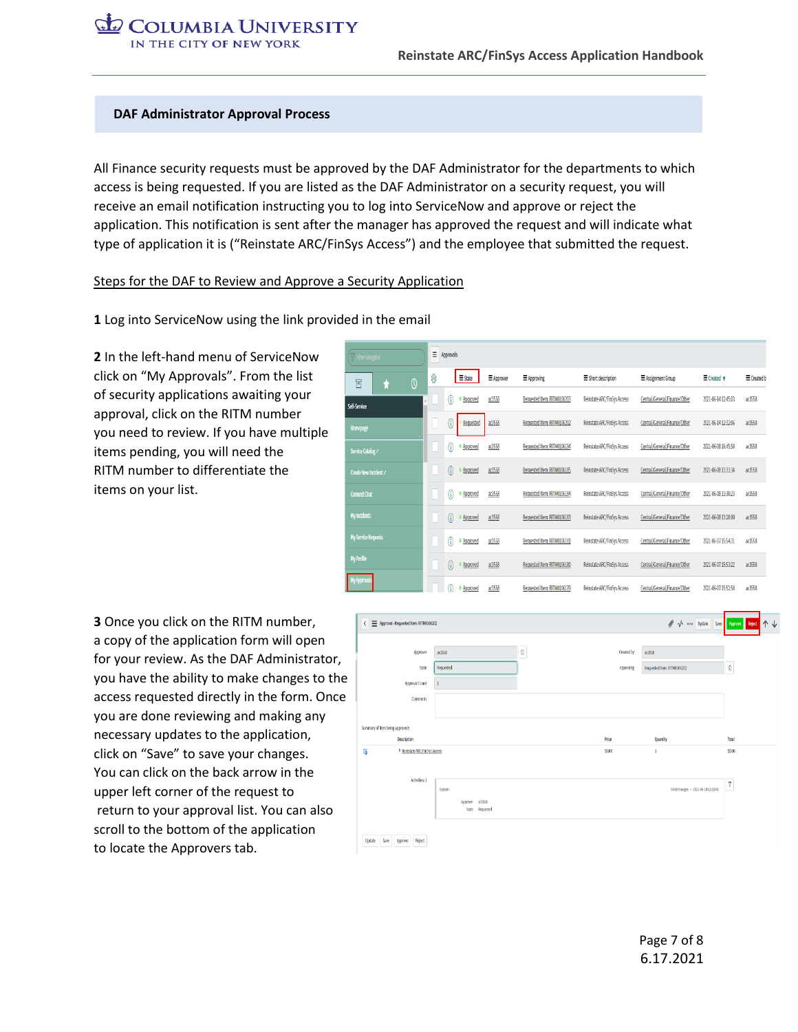#### **DAF Administrator Approval Process**

All Finance security requests must be approved by the DAF Administrator for the departments to which access is being requested. If you are listed as the DAF Administrator on a security request, you will receive an email notification instructing you to log into ServiceNow and approve or reject the application. This notification is sent after the manager has approved the request and will indicate what type of application it is ("Reinstate ARC/FinSys Access") and the employee that submitted the request.

#### Steps for the DAF to Review and Approve a Security Application

**1** Log into ServiceNow using the link provided in the email

**2** In the left-hand menu of ServiceNow click on "My Approvals". From the list of security applications awaiting your approval, click on the RITM number you need to review. If you have multiple items pending, you will need the RITM number to differentiate the items on your list.

| Filter navigator      | Ξ | Approvals        |                     |                             |                             |                               |                           |                     |
|-----------------------|---|------------------|---------------------|-----------------------------|-----------------------------|-------------------------------|---------------------------|---------------------|
| $\overline{0}$<br>同   | ¢ | $\equiv$ State   | E Approver          | E Approving                 | $\equiv$ Short description  | E Assignment Group            | $\equiv$ Created $\bm{v}$ | $\equiv$ Created by |
| Self-Service          |   | 0                | ac3558<br>Approved  | Requested Item: RITM0106203 | Reinstate ARC/FinSys Access | Central/General/Finance/Other | 2021-06-14 12:45:03       | ac3558              |
| Homepage              |   | C                | Requested<br>ac3558 | Requested Item: RITM0106202 | Reinstate ARC/FinSvs Access | Central/General/Finance/Other | 2021-06-14 12:32:06       | ac3558              |
| Service Catalog /     |   | 0                | ac3558<br>Approved  | Requested Item: RITM0106194 | Reinstate ARC/FinSys Access | Central/General/Finance/Other | 2021-06-08 16:45:58       | ac3558              |
| Create New Incident 2 |   | G                | ac3558<br>Approved  | Requested Item: RITM0106185 | Reinstate ARC/FinSys Access | Central/General/Finance/Other | 2021-06-08 13:31:34       | ac3558              |
| <b>Connect Chat</b>   |   | 0<br>· Approved  | ac3558              | Requested Item: RITM0106184 | Reinstate ARC/FinSys Access | Central/General/Finance/Other | 2021-06-08 13:30:23       | ac3558              |
| My Incidents          |   | G)               | ac3558<br>Approved  | Requested Item: RITM0106183 | Reinstate ARC/FinSys Access | Central/General/Finance/Other | 2021-06-08 13:28:00       | ac3558              |
| My Service Requests   |   | 6<br>· Approved  | ac3558              | Requested Item: RITM0106181 | Reinstate ARC/FinSvs Access | Central/General/Finance/Other | 2021-06-07 15:54:31       | ac3558              |
| <b>My Profile</b>     |   | M                | ac3558<br>Approved  | Requested Item: RITM0106180 | Reinstate ARC/FinSys Access | Central/General/Finance/Other | 2021-06-07 15:53:22       | ac3558              |
| y Approval            |   | G)<br>• Approved | ac3558              | Requested Item: RITM0106179 | Reinstate ARC/FinSys Access | Central/General/Finance/Other | 2021-06-07 15:52:58       | ac3558              |

**3** Once you click on the RITM number, a copy of the application form will open for your review. As the DAF Administrator, you have the ability to make changes to the access requested directly in the form. Once you are done reviewing and making any necessary updates to the application, click on "Save" to save your changes. You can click on the back arrow in the upper left corner of the request to return to your approval list. You can also scroll to the bottom of the application to locate the Approvers tab.

|                                    |                    |                |            | ● ↑ ooo Update Save Approve Reject  |                |
|------------------------------------|--------------------|----------------|------------|-------------------------------------|----------------|
| Approver                           | ac3558             | $\circledcirc$ | Created by | a:3558                              |                |
| State                              | Requested          |                | Approving  | Requested Item: RITM0106202         | $\circledR$    |
| Approval Count                     | ı                  |                |            |                                     |                |
| Comments                           |                    |                |            |                                     |                |
|                                    |                    |                |            |                                     |                |
| Summary of Item being approved:    |                    |                |            |                                     |                |
| Description                        |                    |                | Price      | Quantity                            | Total          |
|                                    |                    |                |            |                                     |                |
| Reinstate ARC/FinSys Access<br>la. |                    |                | \$0.00     | 1                                   | \$0.00         |
|                                    |                    |                |            |                                     |                |
| Activities: 1                      | System             |                |            | Field changes + 2021-05-14 12:32:06 | $\overline{r}$ |
|                                    | ac3558<br>Approver |                |            |                                     |                |
|                                    | State Requested    |                |            |                                     |                |
|                                    |                    |                |            |                                     |                |